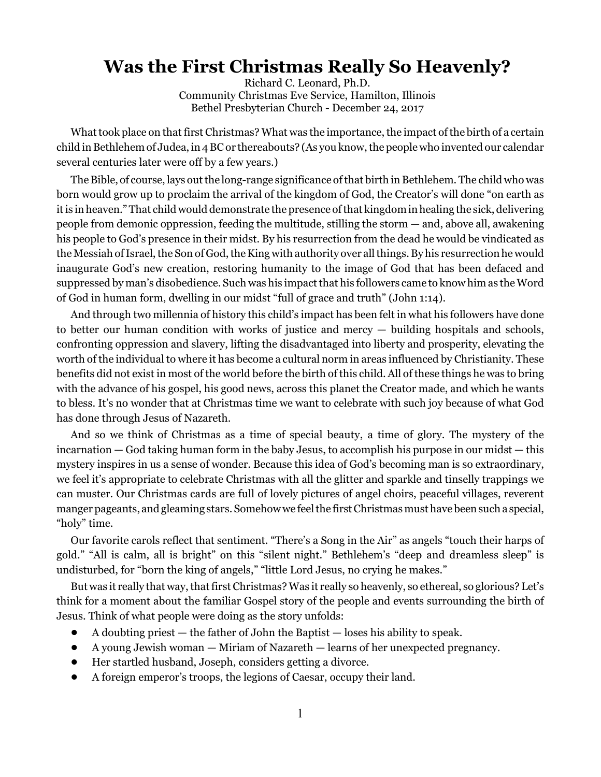## **Was the First Christmas Really So Heavenly?**

Richard C. Leonard, Ph.D. Community Christmas Eve Service, Hamilton, Illinois Bethel Presbyterian Church - December 24, 2017

What took place on that first Christmas? What was the importance, the impact of the birth of a certain child in Bethlehem of Judea, in 4 BC or thereabouts? (As you know, the people who invented our calendar several centuries later were off by a few years.)

The Bible, of course, lays out the long-range significance of that birth in Bethlehem. The child who was born would grow up to proclaim the arrival of the kingdom of God, the Creator's will done "on earth as it is in heaven." That child would demonstrate the presence of that kingdom in healing the sick, delivering people from demonic oppression, feeding the multitude, stilling the storm — and, above all, awakening his people to God's presence in their midst. By his resurrection from the dead he would be vindicated as the Messiah of Israel, the Son of God, the King with authority over all things. By his resurrection he would inaugurate God's new creation, restoring humanity to the image of God that has been defaced and suppressed by man's disobedience. Such was his impact that his followers came to know him as the Word of God in human form, dwelling in our midst "full of grace and truth" (John 1:14).

And through two millennia of history this child's impact has been felt in what his followers have done to better our human condition with works of justice and mercy — building hospitals and schools, confronting oppression and slavery, lifting the disadvantaged into liberty and prosperity, elevating the worth of the individual to where it has become a cultural norm in areas influenced by Christianity. These benefits did not exist in most of the world before the birth of this child. All of these things he was to bring with the advance of his gospel, his good news, across this planet the Creator made, and which he wants to bless. It's no wonder that at Christmas time we want to celebrate with such joy because of what God has done through Jesus of Nazareth.

And so we think of Christmas as a time of special beauty, a time of glory. The mystery of the incarnation — God taking human form in the baby Jesus, to accomplish his purpose in our midst — this mystery inspires in us a sense of wonder. Because this idea of God's becoming man is so extraordinary, we feel it's appropriate to celebrate Christmas with all the glitter and sparkle and tinselly trappings we can muster. Our Christmas cards are full of lovely pictures of angel choirs, peaceful villages, reverent manger pageants, and gleaming stars. Somehow we feel the first Christmas must have been such a special, "holy" time.

Our favorite carols reflect that sentiment. "There's a Song in the Air" as angels "touch their harps of gold." "All is calm, all is bright" on this "silent night." Bethlehem's "deep and dreamless sleep" is undisturbed, for "born the king of angels," "little Lord Jesus, no crying he makes."

But was it really that way, that first Christmas? Was it really so heavenly, so ethereal, so glorious? Let's think for a moment about the familiar Gospel story of the people and events surrounding the birth of Jesus. Think of what people were doing as the story unfolds:

- ! A doubting priest the father of John the Baptist loses his ability to speak.
- ! A young Jewish woman Miriam of Nazareth learns of her unexpected pregnancy.
- ! Her startled husband, Joseph, considers getting a divorce.
- ! A foreign emperor's troops, the legions of Caesar, occupy their land.